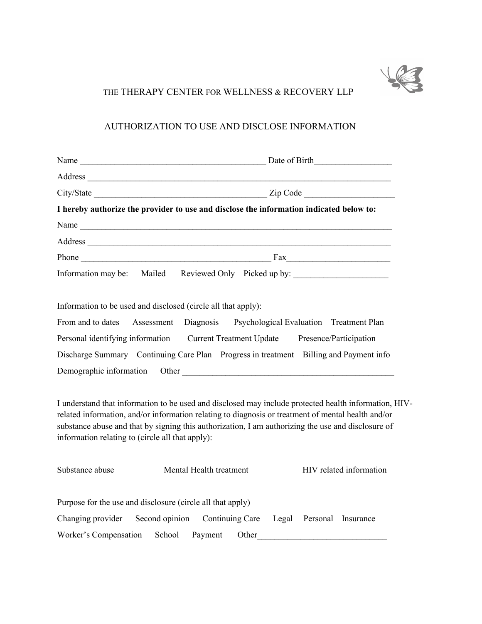

# THE THERAPY CENTER FOR WELLNESS & RECOVERY LLP

## AUTHORIZATION TO USE AND DISCLOSE INFORMATION

|                                                               | I hereby authorize the provider to use and disclose the information indicated below to:                                                                                                                                                                                                                           |
|---------------------------------------------------------------|-------------------------------------------------------------------------------------------------------------------------------------------------------------------------------------------------------------------------------------------------------------------------------------------------------------------|
|                                                               |                                                                                                                                                                                                                                                                                                                   |
|                                                               | Address                                                                                                                                                                                                                                                                                                           |
|                                                               |                                                                                                                                                                                                                                                                                                                   |
|                                                               | Information may be: Mailed Reviewed Only Picked up by: _________________________                                                                                                                                                                                                                                  |
| Information to be used and disclosed (circle all that apply): |                                                                                                                                                                                                                                                                                                                   |
|                                                               | From and to dates Assessment Diagnosis Psychological Evaluation Treatment Plan                                                                                                                                                                                                                                    |
|                                                               | Personal identifying information Current Treatment Update Presence/Participation                                                                                                                                                                                                                                  |
|                                                               | Discharge Summary Continuing Care Plan Progress in treatment Billing and Payment info                                                                                                                                                                                                                             |
|                                                               |                                                                                                                                                                                                                                                                                                                   |
| information relating to (circle all that apply):              | I understand that information to be used and disclosed may include protected health information, HIV-<br>related information, and/or information relating to diagnosis or treatment of mental health and/or<br>substance abuse and that by signing this authorization, I am authorizing the use and disclosure of |
| Substance abuse                                               | Mental Health treatment<br>HIV related information                                                                                                                                                                                                                                                                |
| Purpose for the use and disclosure (circle all that apply)    |                                                                                                                                                                                                                                                                                                                   |

Changing provider Second opinion Continuing Care Legal Personal Insurance

Worker's Compensation School Payment Other\_\_\_\_\_\_\_\_\_\_\_\_\_\_\_\_\_\_\_\_\_\_\_\_\_\_\_\_\_\_